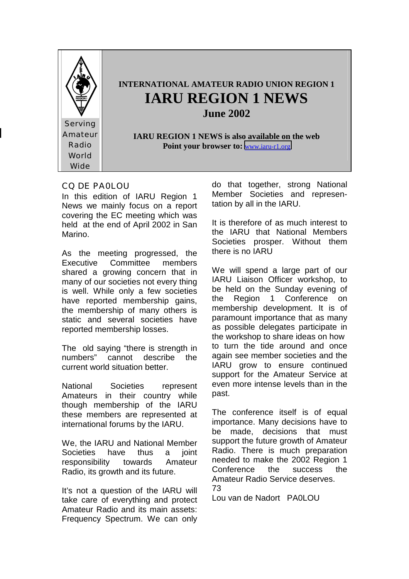

#### CQ DE PA0LOU

In this edition of IARU Region 1 News we mainly focus on a report covering the EC meeting which was held at the end of April 2002 in San Marino.

As the meeting progressed, the Executive Committee members shared a growing concern that in many of our societies not every thing is well. While only a few societies have reported membership gains, the membership of many others is static and several societies have reported membership losses.

The old saying "there is strength in numbers" cannot describe the current world situation better.

National Societies represent Amateurs in their country while though membership of the IARU these members are represented at international forums by the IARU.

We, the IARU and National Member Societies have thus a joint responsibility towards Amateur Radio, its growth and its future.

It's not a question of the IARU will take care of everything and protect Amateur Radio and its main assets: Frequency Spectrum. We can only

do that together, strong National Member Societies and representation by all in the IARU.

It is therefore of as much interest to the IARU that National Members Societies prosper. Without them there is no IARU

We will spend a large part of our IARU Liaison Officer workshop, to be held on the Sunday evening of the Region 1 Conference on membership development. It is of paramount importance that as many as possible delegates participate in the workshop to share ideas on how to turn the tide around and once again see member societies and the IARU grow to ensure continued support for the Amateur Service at even more intense levels than in the past.

The conference itself is of equal importance. Many decisions have to be made, decisions that must support the future growth of Amateur Radio. There is much preparation needed to make the 2002 Region 1 Conference the success the Amateur Radio Service deserves.

73

Lou van de Nadort PA0LOU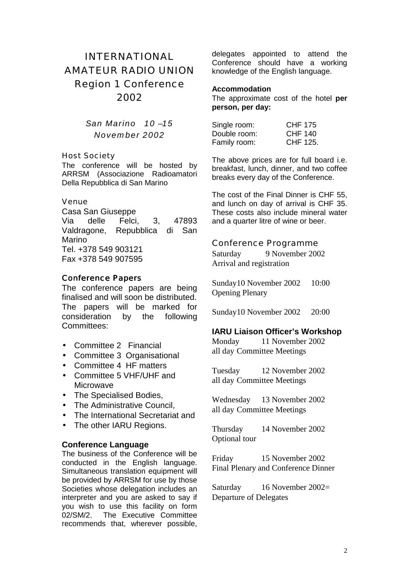## INTERNATIONAL AMATEUR RADIO UNION Region 1 Conference 2002

### *San Marino 10 –15 November 2002*

#### Host Society

The conference will be hosted by ARRSM (Associazione Radioamatori Della Repubblica di San Marino

#### Venue

Casa San Giuseppe Via delle Felci, 3, 47893 Valdragone, Repubblica di San Marino Tel. +378 549 903121 Fax +378 549 907595

#### **Conference Papers**

The conference papers are being finalised and will soon be distributed. The papers will be marked for consideration by the following Committees:

- Committee 2 Financial
- Committee 3 Organisational
- Committee 4 HF matters
- Committee 5 VHF/UHF and Microwave
- The Specialised Bodies,
- The Administrative Council,
- The International Secretariat and
- The other IARU Regions.

#### **Conference Language**

The business of the Conference will be conducted in the English language. Simultaneous translation equipment will be provided by ARRSM for use by those Societies whose delegation includes an interpreter and you are asked to say if you wish to use this facility on form 02/SM/2.The Executive Committee recommends that, wherever possible,

delegates appointed to attend the Conference should have a working knowledge of the English language.

#### **Accommodation**

The approximate cost of the hotel **per person, per day:** 

| Single room: | CHF 175  |
|--------------|----------|
| Double room: | CHF 140  |
| Family room: | CHF 125. |

The above prices are for full board i.e. breakfast, lunch, dinner, and two coffee breaks every day of the Conference.

The cost of the Final Dinner is CHF 55, and lunch on day of arrival is CHF 35. These costs also include mineral water and a quarter litre of wine or beer.

Conference Programme Saturday 9 November 2002 Arrival and registration

Sunday 10 November 2002 10:00 Opening Plenary

Sunday 10 November 2002 20:00

#### **IARU Liaison Officer's Workshop**

Monday 11 November 2002 all day Committee Meetings

Tuesday 12 November 2002 all day Committee Meetings

Wednesday 13 November 2002 all day Committee Meetings

Thursday 14 November 2002 Optional tour

Friday 15 November 2002 Final Plenary and Conference Dinner

Saturday 16 November 2002= Departure of Delegates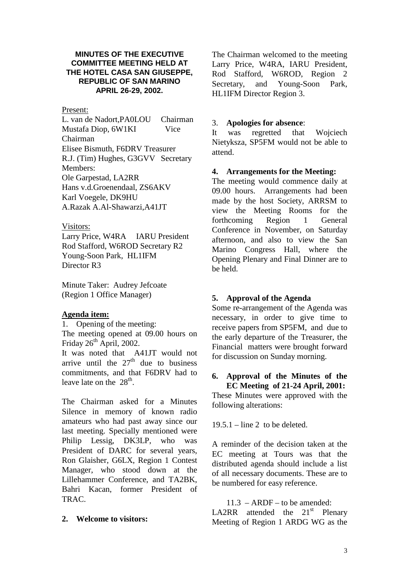#### **MINUTES OF THE EXECUTIVE COMMITTEE MEETING HELD AT THE HOTEL CASA SAN GIUSEPPE, REPUBLIC OF SAN MARINO APRIL 26-29, 2002.**

#### Present:

L. van de Nadort,PA0LOU Chairman Mustafa Diop, 6W1KI Vice Chairman Elisee Bismuth, F6DRV Treasurer R.J. (Tim) Hughes, G3GVV Secretary Members: Ole Garpestad, LA2RR Hans v.d.Groenendaal, ZS6AKV Karl Voegele, DK9HU A.Razak A.Al-Shawarzi,A41JT

#### Visitors:

Larry Price, W4RA IARU President Rod Stafford, W6ROD Secretary R2 Young-Soon Park, HL1IFM Director R3

Minute Taker: Audrey Jefcoate (Region 1 Office Manager)

#### **Agenda item:**

1. Opening of the meeting:

The meeting opened at 09.00 hours on Friday  $26<sup>th</sup>$  April, 2002.

It was noted that A41JT would not arrive until the  $27<sup>th</sup>$  due to business commitments, and that F6DRV had to leave late on the  $28<sup>th</sup>$ .

The Chairman asked for a Minutes Silence in memory of known radio amateurs who had past away since our last meeting. Specially mentioned were Philip Lessig, DK3LP, who was President of DARC for several years, Ron Glaisher, G6LX, Region 1 Contest Manager, who stood down at the Lillehammer Conference, and TA2BK, Bahri Kacan, former President of TRAC.

#### **2. Welcome to visitors:**

The Chairman welcomed to the meeting Larry Price, W4RA, IARU President, Rod Stafford, W6ROD, Region 2 Secretary, and Young-Soon Park, HL1IFM Director Region 3.

#### 3. **Apologies for absence**:

It was regretted that Wojciech Nietyksza, SP5FM would not be able to attend.

#### **4. Arrangements for the Meeting:**

The meeting would commence daily at 09.00 hours. Arrangements had been made by the host Society, ARRSM to view the Meeting Rooms for the forthcoming Region 1 General Conference in November, on Saturday afternoon, and also to view the San Marino Congress Hall, where the Opening Plenary and Final Dinner are to be held.

#### **5. Approval of the Agenda**

Some re-arrangement of the Agenda was necessary, in order to give time to receive papers from SP5FM, and due to the early departure of the Treasurer, the Financial matters were brought forward for discussion on Sunday morning.

#### **6. Approval of the Minutes of the EC Meeting of 21-24 April, 2001:**

These Minutes were approved with the following alterations:

 $19.5.1 - line 2$  to be deleted.

A reminder of the decision taken at the EC meeting at Tours was that the distributed agenda should include a list of all necessary documents. These are to be numbered for easy reference.

11.3 – ARDF – to be amended: LA2RR attended the  $21<sup>st</sup>$  Plenary Meeting of Region 1 ARDG WG as the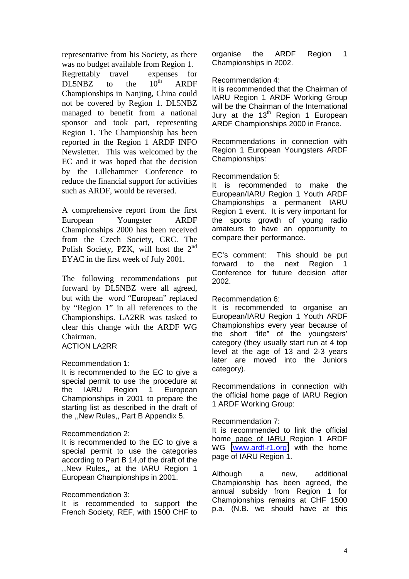representative from his Society, as there was no budget available from Region 1.

Regrettably travel expenses for  $DL5NBZ$  to the  $10^{th}$  ARDF Championships in Nanjing, China could not be covered by Region 1. DL5NBZ managed to benefit from a national sponsor and took part, representing Region 1. The Championship has been reported in the Region 1 ARDF INFO Newsletter. This was welcomed by the EC and it was hoped that the decision by the Lillehammer Conference to reduce the financial support for activities such as ARDF, would be reversed.

A comprehensive report from the first European Youngster ARDF Championships 2000 has been received from the Czech Society, CRC. The Polish Society, PZK, will host the  $2<sup>nd</sup>$ EYAC in the first week of July 2001.

The following recommendations put forward by DL5NBZ were all agreed, but with the word "European" replaced by "Region 1" in all references to the Championships. LA2RR was tasked to clear this change with the ARDF WG Chairman. ACTION LA2RR

#### Recommendation 1:

It is recommended to the EC to give a special permit to use the procedure at the IARU Region 1 European Championships in 2001 to prepare the starting list as described in the draft of the ,,New Rules,, Part B Appendix 5.

#### Recommendation 2:

It is recommended to the EC to give a special permit to use the categories according to Part B 14,of the draft of the ,,New Rules,, at the IARU Region 1 European Championships in 2001.

#### Recommendation 3:

It is recommended to support the French Society, REF, with 1500 CHF to organise the ARDF Region 1 Championships in 2002.

#### Recommendation 4:

It is recommended that the Chairman of IARU Region 1 ARDF Working Group will be the Chairman of the International Jury at the  $13<sup>th</sup>$  Region 1 European ARDF Championships 2000 in France.

Recommendations in connection with Region 1 European Youngsters ARDF Championships:

#### Recommendation 5:

It is recommended to make the European/IARU Region 1 Youth ARDF Championships a permanent IARU Region 1 event. It is very important for the sports growth of young radio amateurs to have an opportunity to compare their performance.

EC's comment: This should be put forward to the next Region Conference for future decision after 2002.

#### Recommendation 6:

It is recommended to organise an European/IARU Region 1 Youth ARDF Championships every year because of the short "life" of the youngsters' category (they usually start run at 4 top level at the age of 13 and 2-3 years later are moved into the Juniors category).

Recommendations in connection with the official home page of IARU Region 1 ARDF Working Group:

#### Recommendation 7:

It is recommended to link the official home page of IARU Region 1 ARDF WG [\(www.ardf-r1.org\)](http://www.ardsf-r1.org/) with the home page of IARU Region 1.

Although a new, additional Championship has been agreed, the annual subsidy from Region 1 for Championships remains at CHF 1500 p.a. (N.B. we should have at this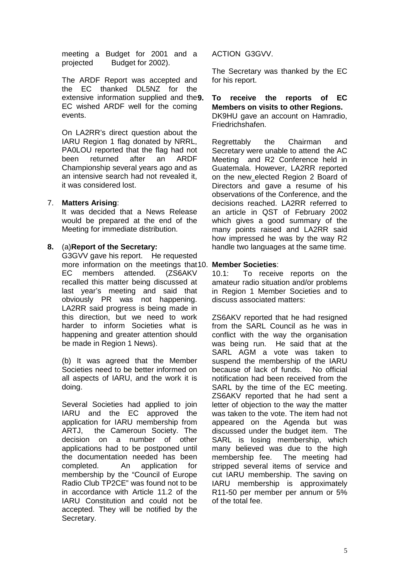meeting a Budget for 2001 and a projected Budget for 2002).

The ARDF Report was accepted and the EC thanked DL5NZ for the extensive information supplied and the **9**. EC wished ARDF well for the coming events.

On LA2RR's direct question about the IARU Region 1 flag donated by NRRL, PA0LOU reported that the flag had not been returned after an ARDF Championship several years ago and as an intensive search had not revealed it, it was considered lost.

#### 7. **Matters Arising**:

It was decided that a News Release would be prepared at the end of the Meeting for immediate distribution.

#### **8.** (a)**Report of the Secretary:**

G3GVV gave his report. He requested more information on the meetings that 10. **Member Societies**: EC members attended. (ZS6AKV recalled this matter being discussed at last year's meeting and said that obviously PR was not happening. LA2RR said progress is being made in this direction, but we need to work harder to inform Societies what is happening and greater attention should be made in Region 1 News).

(b) It was agreed that the Member Societies need to be better informed on all aspects of IARU, and the work it is doing.

Several Societies had applied to join IARU and the EC approved the application for IARU membership from ARTJ, the Cameroun Society. The decision on a number of other applications had to be postponed until the documentation needed has been completed. An application for membership by the "Council of Europe Radio Club TP2CE" was found not to be in accordance with Article 11.2 of the IARU Constitution and could not be accepted. They will be notified by the Secretary.

ACTION G3GVV.

The Secretary was thanked by the EC for his report.

**9. To receive the reports of EC Members on visits to other Regions.**  DK9HU gave an account on Hamradio, Friedrichshafen.

Regrettably the Chairman and Secretary were unable to attend the AC Meeting and R2 Conference held in Guatemala. However, LA2RR reported on the new elected Region 2 Board of Directors and gave a resume of his observations of the Conference, and the decisions reached. LA2RR referred to an article in QST of February 2002 which gives a good summary of the many points raised and LA2RR said how impressed he was by the way R2 handle two languages at the same time.

10.1: To receive reports on the amateur radio situation and/or problems in Region 1 Member Societies and to discuss associated matters:

ZS6AKV reported that he had resigned from the SARL Council as he was in conflict with the way the organisation was being run. He said that at the SARL AGM a vote was taken to suspend the membership of the IARU because of lack of funds. No official notification had been received from the SARL by the time of the EC meeting. ZS6AKV reported that he had sent a letter of objection to the way the matter was taken to the vote. The item had not appeared on the Agenda but was discussed under the budget item. The SARL is losing membership, which many believed was due to the high membership fee. The meeting had stripped several items of service and cut IARU membership. The saving on IARU membership is approximately R11-50 per member per annum or 5% of the total fee.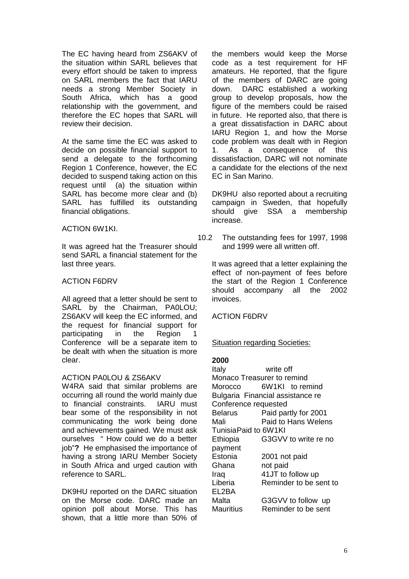The EC having heard from ZS6AKV of the situation within SARL believes that every effort should be taken to impress on SARL members the fact that IARU needs a strong Member Society in South Africa, which has a good relationship with the government, and therefore the EC hopes that SARL will review their decision.

At the same time the EC was asked to decide on possible financial support to send a delegate to the forthcoming Region 1 Conference, however, the EC decided to suspend taking action on this request until (a) the situation within SARL has become more clear and (b) SARL has fulfilled its outstanding financial obligations.

#### ACTION 6W1KI.

It was agreed hat the Treasurer should send SARL a financial statement for the last three years.

#### ACTION F6DRV

All agreed that a letter should be sent to SARL by the Chairman, PA0LOU; ZS6AKV will keep the EC informed, and the request for financial support for participating in the Region Conferencewill be a separate item to be dealt with when the situation is more clear.

#### ACTION PA0LOU & ZS6AKV

W4RA said that similar problems are occurring all round the world mainly due to financial constraints. IARU must bear some of the responsibility in not communicating the work being done and achievements gained. We must ask ourselves " How could we do a better job"**?** He emphasised the importance of having a strong IARU Member Society in South Africa and urged caution with reference to SARL.

DK9HU reported on the DARC situation on the Morse code. DARC made an opinion poll about Morse. This has shown, that a little more than 50% of

the members would keep the Morse code as a test requirement for HF amateurs. He reported, that the figure of the members of DARC are going down. DARC established a working group to develop proposals, how the figure of the members could be raised in future. He reported also, that there is a great dissatisfaction in DARC about IARU Region 1, and how the Morse code problem was dealt with in Region 1. As a consequence of this dissatisfaction, DARC will not nominate a candidate for the elections of the next EC in San Marino.

DK9HU also reported about a recruiting campaign in Sweden, that hopefully should give SSA a membership increase.

10.2 The outstanding fees for 1997, 1998 and 1999 were all written off.

It was agreed that a letter explaining the effect of non-payment of fees before the start of the Region 1 Conference should accompany all the 2002 invoices.

ACTION F6DRV

#### Situation regarding Societies:

#### **2000**

Italy write off Monaco Treasurer to remind Morocco 6W1KI to remind Bulgaria Financial assistance re Conference requested Belarus Paid partly for 2001 Mali Paid to Hans Welens Tunisia Paid to 6W1KI Ethiopia G3GVV to write re no payment Estonia 2001 not paid Ghana not paid Iraq 41JT to follow up Liberia Reminder to be sent to EL2BA Malta **G3GVV** to follow up Mauritius Reminder to be sent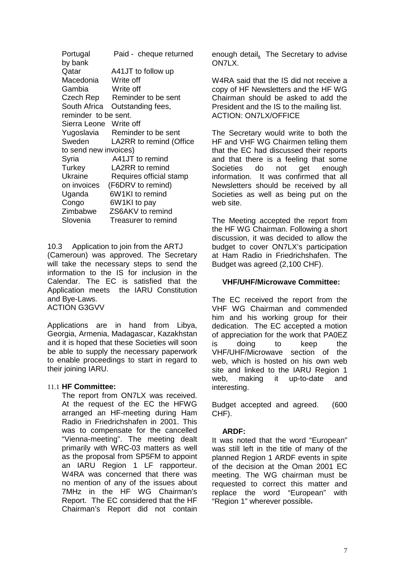| Portugal               | Paid - cheque returned  |
|------------------------|-------------------------|
| by bank                |                         |
| Qatar                  | A41JT to follow up      |
| Macedonia              | Write off               |
| Gambia                 | Write off               |
| Czech Rep              | Reminder to be sent     |
| South Africa           | Outstanding fees,       |
| reminder to be sent.   |                         |
| Sierra Leone Write off |                         |
| Yugoslavia             | Reminder to be sent     |
| Sweden                 | LA2RR to remind (Office |
| to send new invoices)  |                         |
| Syria                  | A41JT to remind         |
| Turkey                 | LA2RR to remind         |
| Ukraine                | Requires official stamp |
| on invoices            | (F6DRV to remind)       |
| Uganda                 | 6W1KI to remind         |
| Congo                  | 6W1KI to pay            |
| Zimbabwe               | ZS6AKV to remind        |
| Slovenia               | Treasurer to remind     |

10.3 Application to join from the ARTJ (Cameroun) was approved. The Secretary will take the necessary steps to send the information to the IS for inclusion in the Calendar. The EC is satisfied that the Application meets the IARU Constitution and Bye-Laws.

ACTION G3GVV

Applications are in hand from Libya, Georgia, Armenia, Madagascar, Kazakhstan and it is hoped that these Societies will soon be able to supply the necessary paperwork to enable proceedings to start in regard to their joining IARU.

#### 11.1 **HF Committee:**

The report from ON7LX was received. At the request of the EC the HFWG arranged an HF-meeting during Ham Radio in Friedrichshafen in 2001. This was to compensate for the cancelled "Vienna-meeting". The meeting dealt primarily with WRC-03 matters as well as the proposal from SP5FM to appoint an IARU Region 1 LF rapporteur. W4RA was concerned that there was no mention of any of the issues about 7MHz in the HF WG Chairman's Report. The EC considered that the HF Chairman's Report did not contain enough detail**.** The Secretary to advise ON7LX.

W4RA said that the IS did not receive a copy of HF Newsletters and the HF WG Chairman should be asked to add the President and the IS to the mailing list. ACTION: ON7LX/OFFICE

The Secretary would write to both the HF and VHF WG Chairmen telling them that the EC had discussed their reports and that there is a feeling that some Societies do not get enough information. It was confirmed that all Newsletters should be received by all Societies as well as being put on the web site.

The Meeting accepted the report from the HF WG Chairman. Following a short discussion, it was decided to allow the budget to cover ON7LX's participation at Ham Radio in Friedrichshafen. The Budget was agreed (2,100 CHF).

#### **VHF/UHF/Microwave Committee:**

The EC received the report from the VHF WG Chairman and commended him and his working group for their dedication. The EC accepted a motion of appreciation for the work that PA0EZ is doing to keep the VHF/UHF/Microwave section of the web, which is hosted on his own web site and linked to the IARU Region 1 web, making it up-to-date and interesting.

Budget accepted and agreed. (600 CHF).

#### **ARDF:**

It was noted that the word "European" was still left in the title of many of the planned Region 1 ARDF events in spite of the decision at the Oman 2001 EC meeting. The WG chairman must be requested to correct this matter and replace the word "European" with "Region 1" wherever possible.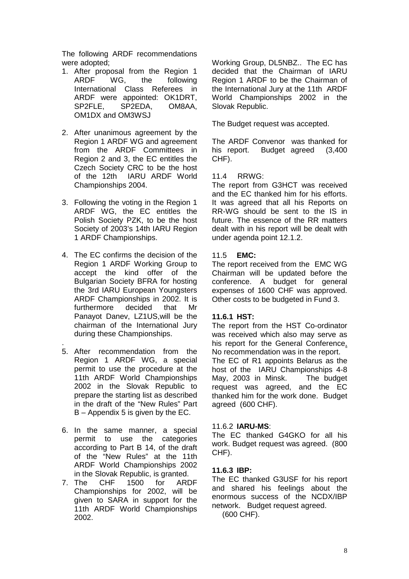The following ARDF recommendations were adopted;

- 1. After proposal from the Region 1 ARDF WG, the following International Class Referees in ARDF were appointed: OK1DRT, SP2FLE, SP2EDA, OM8AA, OM1DX and OM3WSJ
- 2. After unanimous agreement by the Region 1 ARDF WG and agreement from the ARDF Committees in Region 2 and 3, the EC entitles the Czech Society CRC to be the host of the 12th IARU ARDF World Championships 2004.
- 3. Following the voting in the Region 1 ARDF WG, the EC entitles the Polish Society PZK, to be the host Society of 2003's 14th IARU Region 1 ARDF Championships.
- 4. The EC confirms the decision of the Region 1 ARDF Working Group to accept the kind offer of the Bulgarian Society BFRA for hosting the 3rd IARU European Youngsters ARDF Championships in 2002. It is furthermore decided that Mr Panayot Danev, LZ1US,will be the chairman of the International Jury during these Championships.
- 5. After recommendation from the Region 1 ARDF WG, a special permit to use the procedure at the 11th ARDF World Championships 2002 in the Slovak Republic to prepare the starting list as described in the draft of the "New Rules" Part B – Appendix 5 is given by the EC.

.

- 6. In the same manner, a special permit to use the categories according to Part B 14, of the draft of the "New Rules" at the 11th ARDF World Championships 2002 in the Slovak Republic, is granted.
- 7. The CHF 1500 for ARDF Championships for 2002, will be given to SARA in support for the 11th ARDF World Championships 2002.

Working Group, DL5NBZ.. The EC has decided that the Chairman of IARU Region 1 ARDF to be the Chairman of the International Jury at the 11th ARDF World Championships 2002 in the Slovak Republic.

The Budget request was accepted.

The ARDF Convenor was thanked for his report. Budget agreed (3.400 CHF).

#### 11.4 RRWG:

The report from G3HCT was received and the EC thanked him for his efforts. It was agreed that all his Reports on RR-WG should be sent to the IS in future. The essence of the RR matters dealt with in his report will be dealt with under agenda point 12.1.2.

#### 11.5 **EMC:**

The report received from the EMC WG Chairman will be updated before the conference. A budget for general expenses of 1600 CHF was approved. Other costs to be budgeted in Fund 3.

#### **11.6.1 HST:**

The report from the HST Co-ordinator was received which also may serve as his report for the General Conference. No recommendation was in the report. The EC of R1 appoints Belarus as the host of the IARU Championships 4-8 May, 2003 in Minsk. The budget request was agreed, and the EC thanked him for the work done. Budget agreed (600 CHF).

#### 11.6.2 **IARU-MS**:

The EC thanked G4GKO for all his work. Budget request was agreed. (800 CHF).

#### **11.6.3 IBP:**

The EC thanked G3USF for his report and shared his feelings about the enormous success of the NCDX/IBP network. Budget request agreed. (600 CHF).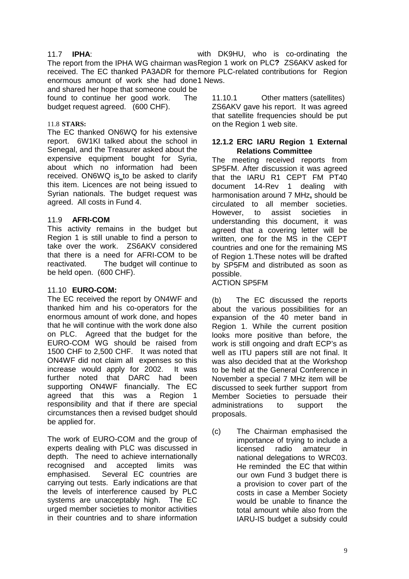#### 11.7 **IPHA**:

The report from the IPHA WG chairman was Region 1 work on PLC**?** ZS6AKV asked for received. The EC thanked PA3ADR for themore PLC-related contributions for Region enormous amount of work she had done 1 News. with DK9HU, who is co-ordinating the

and shared her hope that someone could be found to continue her good work. The budget request agreed. (600 CHF).

#### 11.8 **STARS:**

The EC thanked ON6WQ for his extensive report. 6W1KI talked about the school in Senegal, and the Treasurer asked about the expensive equipment bought for Syria, about which no information had been received. ON6WQ is\_to be asked to clarify this item. Licences are not being issued to Syrian nationals. The budget request was agreed. All costs in Fund 4.

#### 11.9 **AFRI-COM**

This activity remains in the budget but Region 1 is still unable to find a person to take over the work. ZS6AKV considered that there is a need for AFRI-COM to be reactivated. The budget will continue to be held open. (600 CHF).

#### 11.10 **EURO-COM:**

The EC received the report by ON4WF and thanked him and his co-operators for the enormous amount of work done, and hopes that he will continue with the work done also on PLC. Agreed that the budget for the EURO-COM WG should be raised from 1500 CHF to 2,500 CHF. It was noted that ON4WF did not claim all expenses so this increase would apply for 2002. It was further noted that DARC had been supporting ON4WF financially. The EC agreed that this was a Region 1 responsibility and that if there are special circumstances then a revised budget should be applied for.

The work of EURO-COM and the group of experts dealing with PLC was discussed in depth. The need to achieve internationally recognised and accepted limits was emphasised. Several EC countries are carrying out tests. Early indications are that the levels of interference caused by PLC systems are unacceptably high. The EC urged member societies to monitor activities in their countries and to share information

11.10.1 Other matters (satellites) ZS6AKV gave his report. It was agreed that satellite frequencies should be put on the Region 1 web site.

#### **12.1.2 ERC IARU Region 1 External Relations Committee**

The meeting received reports from SP5FM. After discussion it was agreed that the IARU R1 CEPT FM PT40 document 14-Rev 1 dealing with harmonisation around 7 MHz**,** should be circulated to all member societies. However, to assist societies in understanding this document, it was agreed that a covering letter will be written, one for the MS in the CEPT countries and one for the remaining MS of Region 1.These notes will be drafted by SP5FM and distributed as soon as possible.

#### ACTION SP5FM

(b) The EC discussed the reports about the various possibilities for an expansion of the 40 meter band in Region 1. While the current position looks more positive than before, the work is still ongoing and draft ECP's as well as ITU papers still are not final. It was also decided that at the Workshop to be held at the General Conference in November a special 7 MHz item will be discussed to seek further support from Member Societies to persuade their administrations to support the proposals.

(c) The Chairman emphasised the importance of trying to include a licensed radio amateur in national delegations to WRC03. He reminded the EC that within our own Fund 3 budget there is a provision to cover part of the costs in case a Member Society would be unable to finance the total amount while also from the IARU-IS budget a subsidy could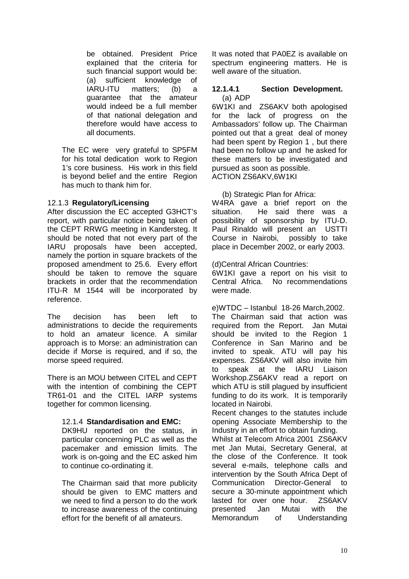be obtained. President Price explained that the criteria for such financial support would be: (a) sufficient knowledge of IARU-ITU matters; (b) a guarantee that the amateur would indeed be a full member of that national delegation and therefore would have access to all documents.

The EC were very grateful to SP5FM for his total dedication work to Region 1's core business. His work in this field is beyond belief and the entire Region has much to thank him for.

#### 12.1.3 **Regulatory/Licensing**

After discussion the EC accepted G3HCT's report, with particular notice being taken of the CEPT RRWG meeting in Kandersteg. It should be noted that not every part of the IARU proposals have been accepted, namely the portion in square brackets of the proposed amendment to 25.6. Every effort should be taken to remove the square brackets in order that the recommendation ITU-R M 1544 will be incorporated by reference.

The decision has been left to administrations to decide the requirements to hold an amateur licence. A similar approach is to Morse: an administration can decide if Morse is required, and if so, the morse speed required.

There is an MOU between CITEL and CEPT with the intention of combining the CEPT TR61-01 and the CITEL IARP systems together for common licensing.

#### 12.1.4 **Standardisation and EMC:**

DK9HU reported on the status, in particular concerning PLC as well as the pacemaker and emission limits. The work is on-going and the EC asked him to continue co-ordinating it.

The Chairman said that more publicity should be given to EMC matters and we need to find a person to do the work to increase awareness of the continuing effort for the benefit of all amateurs.

It was noted that PA0EZ is available on spectrum engineering matters. He is well aware of the situation.

#### **12.1.4.1 Section Development.**  (a) ADP

6W1KI and ZS6AKV both apologised for the lack of progress on the Ambassadors' follow up. The Chairman pointed out that a great deal of money had been spent by Region 1 , but there had been no follow up and he asked for these matters to be investigated and pursued as soon as possible. ACTION ZS6AKV,6W1KI

#### (b) Strategic Plan for Africa:

W4RA gave a brief report on the situation. He said there was a possibility of sponsorship by ITU-D. Paul Rinaldo will present an USTTI Course in Nairobi, possibly to take place in December 2002, or early 2003.

(d)Central African Countries:

6W1KI gave a report on his visit to Central Africa. No recommendations were made.

e)WTDC – Istanbul 18-26 March,2002. The Chairman said that action was required from the Report. Jan Mutai should be invited to the Region 1 Conference in San Marino and be invited to speak. ATU will pay his expenses. ZS6AKV will also invite him to speak at the IARU Liaison Workshop.ZS6AKV read a report on which ATU is still plagued by insufficient funding to do its work. It is temporarily located in Nairobi.

Recent changes to the statutes include opening Associate Membership to the Industry in an effort to obtain funding.

Whilst at Telecom Africa 2001 ZS6AKV met Jan Mutai, Secretary General, at the close of the Conference. It took several e-mails, telephone calls and intervention by the South Africa Dept of Communication Director-General to secure a 30-minute appointment which lasted for over one hour. ZS6AKV presented Jan Mutai with the Memorandum of Understanding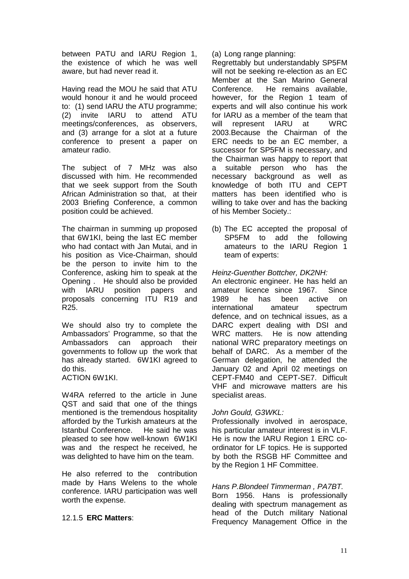between PATU and IARU Region 1, the existence of which he was well aware, but had never read it.

Having read the MOU he said that ATU would honour it and he would proceed to: (1) send IARU the ATU programme; (2) invite IARU to attend ATU meetings/conferences, as observers, and (3) arrange for a slot at a future conference to present a paper on amateur radio.

The subject of 7 MHz was also discussed with him. He recommended that we seek support from the South African Administration so that, at their 2003 Briefing Conference, a common position could be achieved.

The chairman in summing up proposed that 6W1KI, being the last EC member who had contact with Jan Mutai, and in his position as Vice-Chairman, should be the person to invite him to the Conference, asking him to speak at the Opening . He should also be provided with IARU position papers and proposals concerning ITU R19 and R25.

We should also try to complete the Ambassadors' Programme, so that the Ambassadors can approach their governments to follow up the work that has already started. 6W1KI agreed to do this.

ACTION 6W1KI.

W4RA referred to the article in June QST and said that one of the things mentioned is the tremendous hospitality afforded by the Turkish amateurs at the Istanbul Conference. He said he was pleased to see how well-known 6W1KI was and the respect he received, he was delighted to have him on the team.

He also referred to the contribution made by Hans Welens to the whole conference. IARU participation was well worth the expense.

#### 12.1.5 **ERC Matters**:

(a) Long range planning:

Regrettably but understandably SP5FM will not be seeking re-election as an EC Member at the San Marino General Conference. He remains available, however, for the Region 1 team of experts and will also continue his work for IARU as a member of the team that will represent IARU at WRC 2003.Because the Chairman of the ERC needs to be an EC member, a successor for SP5FM is necessary, and the Chairman was happy to report that a suitable person who has the necessary background as well as knowledge of both ITU and CEPT matters has been identified who is willing to take over and has the backing of his Member Society.:

(b) The EC accepted the proposal of SP5FM to add the following amateurs to the IARU Region 1 team of experts:

#### *Heinz-Guenther Bottcher, DK2NH:*

An electronic engineer. He has held an amateur licence since 1967. Since 1989 he has been active on international amateur spectrum defence, and on technical issues, as a DARC expert dealing with DSI and WRC matters. He is now attending national WRC preparatory meetings on behalf of DARC. As a member of the German delegation, he attended the January 02 and April 02 meetings on CEPT-FM40 and CEPT-SE7. Difficult VHF and microwave matters are his specialist areas.

#### *John Gould, G3WKL:*

Professionally involved in aerospace, his particular amateur interest is in VLF. He is now the IARU Region 1 ERC coordinator for LF topics. He is supported by both the RSGB HF Committee and by the Region 1 HF Committee.

#### *Hans P.Blondeel Timmerman , PA7BT.*

Born 1956. Hans is professionally dealing with spectrum management as head of the Dutch military National Frequency Management Office in the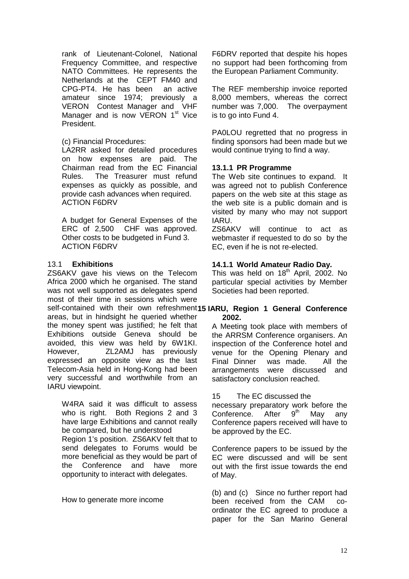rank of Lieutenant-Colonel, National Frequency Committee, and respective NATO Committees. He represents the Netherlands at the CEPT FM40 and CPG-PT4. He has been an active amateur since 1974; previously a VERON Contest Manager and VHF Manager and is now VERON 1<sup>st</sup> Vice President.

#### (c) Financial Procedures:

LA2RR asked for detailed procedures on how expenses are paid. The Chairman read from the EC Financial Rules. The Treasurer must refund expenses as quickly as possible, and provide cash advances when required. ACTION F6DRV

A budget for General Expenses of the ERC of 2,500 CHF was approved. Other costs to be budgeted in Fund 3. ACTION F6DRV

#### 13.1 **Exhibitions**

ZS6AKV gave his views on the Telecom Africa 2000 which he organised. The stand was not well supported as delegates spend most of their time in sessions which were self-contained with their own refreshment15 IARU, Region 1 General Conference areas, but in hindsight he queried whether the money spent was justified; he felt that Exhibitions outside Geneva should be avoided, this view was held by 6W1KI. However, ZL2AMJ has previously expressed an opposite view as the last Telecom-Asia held in Hong-Kong had been very successful and worthwhile from an IARU viewpoint.

W4RA said it was difficult to assess who is right. Both Regions 2 and 3 have large Exhibitions and cannot really be compared, but he understood Region 1's position. ZS6AKV felt that to send delegates to Forums would be more beneficial as they would be part of the Conference and have more opportunity to interact with delegates.

How to generate more income

F6DRV reported that despite his hopes no support had been forthcoming from the European Parliament Community.

The REF membership invoice reported 8,000 members, whereas the correct number was 7,000. The overpayment is to go into Fund 4.

PA0LOU regretted that no progress in finding sponsors had been made but we would continue trying to find a way.

#### **13.1.1 PR Programme**

The Web site continues to expand. It was agreed not to publish Conference papers on the web site at this stage as the web site is a public domain and is visited by many who may not support IARU.

ZS6AKV will continue to act as webmaster if requested to do so by the EC, even if he is not re-elected.

#### **14.1.1 World Amateur Radio Day.**

This was held on  $18<sup>th</sup>$  April, 2002. No particular special activities by Member Societies had been reported.

# **2002.**

A Meeting took place with members of the ARRSM Conference organisers. An inspection of the Conference hotel and venue for the Opening Plenary and Final Dinner was made. All the arrangements were discussed and satisfactory conclusion reached.

#### 15 The EC discussed the

necessary preparatory work before the Conference. After  $9<sup>th</sup>$  May any Conference papers received will have to be approved by the EC.

Conference papers to be issued by the EC were discussed and will be sent out with the first issue towards the end of May.

(b) and (c) Since no further report had been received from the CAM coordinator the EC agreed to produce a paper for the San Marino General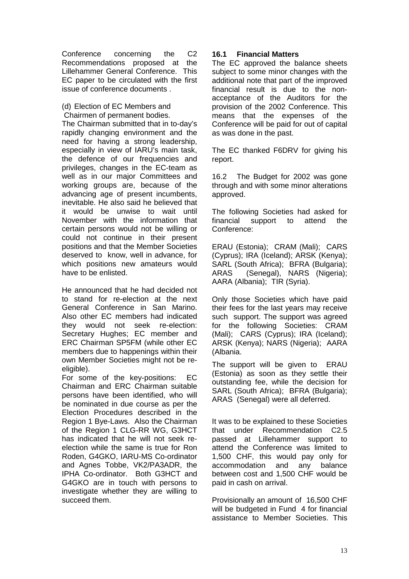Conference concerning the C2 Recommendations proposed at the Lillehammer General Conference. This EC paper to be circulated with the first issue of conference documents .

(d) Election of EC Members and Chairmen of permanent bodies.

The Chairman submitted that in to-day's rapidly changing environment and the need for having a strong leadership, especially in view of IARU's main task, the defence of our frequencies and privileges, changes in the EC-team as well as in our major Committees and working groups are, because of the advancing age of present incumbents, inevitable. He also said he believed that it would be unwise to wait until November with the information that certain persons would not be willing or could not continue in their present positions and that the Member Societies deserved to know, well in advance, for which positions new amateurs would have to be enlisted.

He announced that he had decided not to stand for re-election at the next General Conference in San Marino. Also other EC members had indicated they would not seek re-election: Secretary Hughes; EC member and ERC Chairman SP5FM (while other EC members due to happenings within their own Member Societies might not be reeligible).

For some of the key-positions: EC Chairman and ERC Chairman suitable persons have been identified, who will be nominated in due course as per the Election Procedures described in the Region 1 Bye-Laws. Also the Chairman of the Region 1 CLG-RR WG, G3HCT has indicated that he will not seek reelection while the same is true for Ron Roden, G4GKO, IARU-MS Co-ordinator and Agnes Tobbe, VK2/PA3ADR, the IPHA Co-ordinator. Both G3HCT and G4GKO are in touch with persons to investigate whether they are willing to succeed them.

#### **16.1 Financial Matters**

The EC approved the balance sheets subject to some minor changes with the additional note that part of the improved financial result is due to the nonacceptance of the Auditors for the provision of the 2002 Conference. This means that the expenses of the Conference will be paid for out of capital as was done in the past.

The EC thanked F6DRV for giving his report.

16.2 The Budget for 2002 was gone through and with some minor alterations approved.

The following Societies had asked for financial support to attend the Conference:

ERAU (Estonia); CRAM (Mali); CARS (Cyprus); IRA (Iceland); ARSK (Kenya); SARL (South Africa); BFRA (Bulgaria); ARAS (Senegal), NARS (Nigeria); AARA (Albania); TIR (Syria).

Only those Societies which have paid their fees for the last years may receive such support. The support was agreed for the following Societies: CRAM (Mali); CARS (Cyprus); IRA (Iceland); ARSK (Kenya); NARS (Nigeria); AARA (Albania.

The support will be given to ERAU (Estonia) as soon as they settle their outstanding fee, while the decision for SARL (South Africa); BFRA (Bulgaria); ARAS (Senegal) were all deferred.

It was to be explained to these Societies that under Recommendation C2.5 passed at Lillehammer support to attend the Conference was limited to 1,500 CHF, this would pay only for accommodation and any balance between cost and 1,500 CHF would be paid in cash on arrival.

Provisionally an amount of 16,500 CHF will be budgeted in Fund 4 for financial assistance to Member Societies. This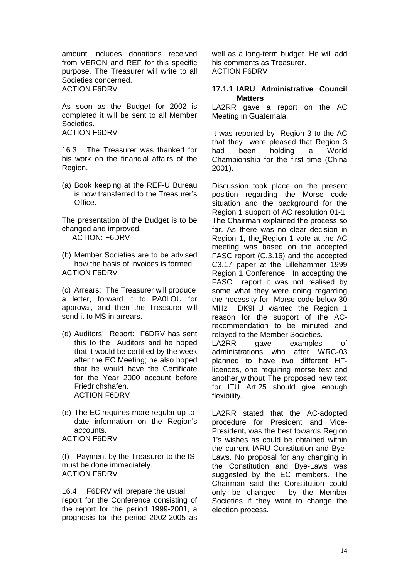amount includes donations received from VERON and REF for this specific purpose. The Treasurer will write to all Societies concerned. ACTION F6DRV

As soon as the Budget for 2002 is completed it will be sent to all Member Societies. ACTION F6DRV

16.3 The Treasurer was thanked for his work on the financial affairs of the Region.

(a) Book keeping at the REF-U Bureau is now transferred to the Treasurer's Office.

The presentation of the Budget is to be changed and improved.

ACTION: F6DRV

(b) Member Societies are to be advised how the basis of invoices is formed. ACTION F6DRV

(c) Arrears: The Treasurer will produce a letter, forward it to PA0LOU for approval, and then the Treasurer will send it to MS in arrears.

- (d) Auditors' Report: F6DRV has sent this to the Auditors and he hoped that it would be certified by the week after the EC Meeting; he also hoped that he would have the Certificate for the Year 2000 account before Friedrichshafen. ACTION F6DRV
- (e) The EC requires more regular up-todate information on the Region's accounts. ACTION F6DRV

(f) Payment by the Treasurer to the IS must be done immediately. ACTION F6DRV

16.4 F6DRV will prepare the usual report for the Conference consisting of the report for the period 1999-2001, a prognosis for the period 2002-2005 as

well as a long-term budget. He will add his comments as Treasurer. ACTION F6DRV

#### **17.1.1 IARU Administrative Council Matters**

LA2RR gave a report on the AC Meeting in Guatemala.

It was reported by Region 3 to the AC that they were pleased that Region 3 had been holding a World Championship for the first\_time (China 2001).

Discussion took place on the present position regarding the Morse code situation and the background for the Region 1 support of AC resolution 01-1. The Chairman explained the process so far. As there was no clear decision in Region 1, the Region 1 vote at the AC meeting was based on the accepted FASC report (C.3.16) and the accepted C3.17 paper at the Lillehammer 1999 Region 1 Conference. In accepting the FASC report it was not realised by some what they were doing regarding the necessity for Morse code below 30 MHz DK9HU wanted the Region 1 reason for the support of the ACrecommendation to be minuted and relayed to the Member Societies.

LA2RR gave examples of administrations who after WRC-03 planned to have two different HFlicences, one requiring morse test and another\_without The proposed new text for ITU Art.25 should give enough flexibility.

LA2RR stated that the AC-adopted procedure for President and Vice-President**,** was the best towards Region 1's wishes as could be obtained within the current IARU Constitution and Bye-Laws. No proposal for any changing in the Constitution and Bye-Laws was suggested by the EC members. The Chairman said the Constitution could only be changed by the Member Societies if they want to change the election process.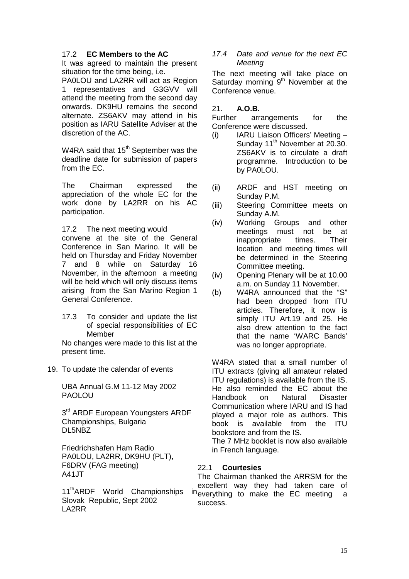#### 17.2 **EC Members to the AC**

It was agreed to maintain the present situation for the time being, i.e.

PA0LOU and LA2RR will act as Region 1 representatives and G3GVV will attend the meeting from the second day onwards. DK9HU remains the second alternate. ZS6AKV may attend in his position as IARU Satellite Adviser at the discretion of the AC.

W<sub>4</sub>RA said that  $15<sup>th</sup>$  September was the deadline date for submission of papers from the EC.

The Chairman expressed the appreciation of the whole EC for the work done by LA2RR on his AC participation.

#### 17.2 The next meeting would

convene at the site of the General Conference in San Marino. It will be held on Thursday and Friday November 7 and 8 while on Saturday 16 November, in the afternoon a meeting will be held which will only discuss items arising from the San Marino Region 1 General Conference.

17.3 To consider and update the list of special responsibilities of EC Member

No changes were made to this list at the present time.

19. To update the calendar of events

UBA Annual G.M 11-12 May 2002 PAOLOU

3<sup>rd</sup> ARDF European Youngsters ARDF Championships, Bulgaria DL5NBZ

Friedrichshafen Ham Radio PA0LOU, LA2RR, DK9HU (PLT), F6DRV (FAG meeting) A41JT

11<sup>th</sup>ARDF World Championships Slovak Republic, Sept 2002 LA2RR

#### *17.4 Date and venue for the next EC Meeting*

The next meeting will take place on Saturday morning  $9<sup>th</sup>$  November at the Conference venue.

#### 21. **A.O.B.**

Further arrangements for the Conference were discussed.

- (i) IARU Liaison Officers' Meeting Sunday 11<sup>th</sup> November at 20.30. ZS6AKV is to circulate a draft programme. Introduction to be by PA0LOU.
- (ii) ARDF and HST meeting on Sunday P.M.
- (iii) Steering Committee meets on Sunday A.M.
- (iv) Working Groups and other meetings must not be at inappropriate times. Their location and meeting times will be determined in the Steering Committee meeting.
- (iv) Opening Plenary will be at 10.00 a.m. on Sunday 11 November.
- (b) W4RA announced that the "S" had been dropped from ITU articles. Therefore, it now is simply ITU Art.19 and 25. He also drew attention to the fact that the name 'WARC Bands' was no longer appropriate.

W4RA stated that a small number of ITU extracts (giving all amateur related ITU regulations) is available from the IS. He also reminded the EC about the Handbook on Natural Disaster Communication where IARU and IS had played a major role as authors. This book is available from the ITU bookstore and from the IS.

The 7 MHz booklet is now also available in French language.

#### 22.1 **Courtesies**

The Chairman thanked the ARRSM for the excellent way they had taken care of ineverything to make the EC meeting a success.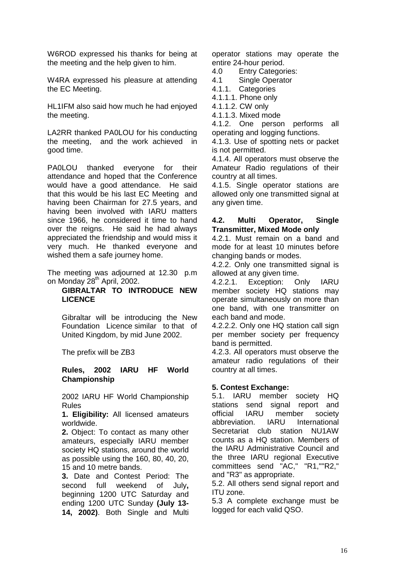W6ROD expressed his thanks for being at the meeting and the help given to him.

W4RA expressed his pleasure at attending the EC Meeting.

HL1IFM also said how much he had enjoyed the meeting.

LA2RR thanked PA0LOU for his conducting the meeting, and the work achieved in good time.

PA0LOU thanked everyone for their attendance and hoped that the Conference would have a good attendance. He said that this would be his last EC Meeting and having been Chairman for 27.5 years, and having been involved with IARU matters since 1966, he considered it time to hand over the reigns. He said he had always appreciated the friendship and would miss it very much. He thanked everyone and wished them a safe journey home.

The meeting was adjourned at 12.30 p.m on Monday 28<sup>th</sup> April, 2002.

#### **GIBRALTAR TO INTRODUCE NEW LICENCE**

Gibraltar will be introducing the New Foundation Licence similar to that of United Kingdom, by mid June 2002.

The prefix will be ZB3

#### **Rules, 2002 IARU HF World Championship**

2002 IARU HF World Championship Rules

**1. Eligibility:** All licensed amateurs worldwide.

**2.** Object: To contact as many other amateurs, especially IARU member society HQ stations, around the world as possible using the 160, 80, 40, 20, 15 and 10 metre bands.

**3.** Date and Contest Period: The second full weekend of July**,**  beginning 1200 UTC Saturday and ending 1200 UTC Sunday **(July 13- 14, 2002)**. Both Single and Multi operator stations may operate the entire 24-hour period.

4.0 Entry Categories:

4.1 Single Operator

4.1.1. Categories

4.1.1.1. Phone only

4.1.1.2. CW only

4.1.1.3. Mixed mode

4.1.2. One person performs all operating and logging functions.

4.1.3. Use of spotting nets or packet is not permitted.

4.1.4. All operators must observe the Amateur Radio regulations of their country at all times.

4.1.5. Single operator stations are allowed only one transmitted signal at any given time.

#### **4.2. Multi Operator, Single Transmitter, Mixed Mode only**

4.2.1. Must remain on a band and mode for at least 10 minutes before changing bands or modes.

4.2.2. Only one transmitted signal is allowed at any given time.

4.2.2.1. Exception: Only IARU member society HQ stations may operate simultaneously on more than one band, with one transmitter on each band and mode.

4.2.2.2. Only one HQ station call sign per member society per frequency band is permitted.

4.2.3. All operators must observe the amateur radio regulations of their country at all times.

#### **5. Contest Exchange:**

5.1. IARU member society HQ stations send signal report and official IARU member society abbreviation. IARU International Secretariat club station NU1AW counts as a HQ station. Members of the IARU Administrative Council and the three IARU regional Executive committees send "AC," "R1,""R2," and "R3" as appropriate.

5.2. All others send signal report and ITU zone.

5.3 A complete exchange must be logged for each valid QSO.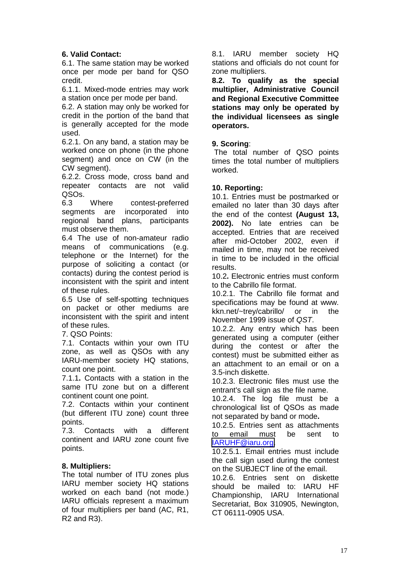#### **6. Valid Contact:**

6.1. The same station may be worked once per mode per band for QSO credit.

6.1.1. Mixed-mode entries may work a station once per mode per band.

6.2. A station may only be worked for credit in the portion of the band that is generally accepted for the mode used.

6.2.1. On any band, a station may be worked once on phone (in the phone segment) and once on CW (in the CW segment).

6.2.2. Cross mode, cross band and repeater contacts are not valid QSOs.

6.3 Where contest-preferred segments are incorporated into regional band plans, participants must observe them.

6.4 The use of non-amateur radio means of communications (e.g. telephone or the Internet) for the purpose of soliciting a contact (or contacts) during the contest period is inconsistent with the spirit and intent of these rules.

6.5 Use of self-spotting techniques on packet or other mediums are inconsistent with the spirit and intent of these rules.

7. QSO Points:

7.1. Contacts within your own ITU zone, as well as QSOs with any IARU-member society HQ stations, count one point.

7.1.1**.** Contacts with a station in the same ITU zone but on a different continent count one point.

7.2. Contacts within your continent (but different ITU zone) count three points.

7.3. Contacts with a different continent and IARU zone count five points.

#### **8. Multipliers:**

The total number of ITU zones plus IARU member society HQ stations worked on each band (not mode.) IARU officials represent a maximum of four multipliers per band (AC, R1, R2 and R3).

8.1. IARU member society HQ stations and officials do not count for zone multipliers.

**8.2. To qualify as the special multiplier, Administrative Council and Regional Executive Committee stations may only be operated by the individual licensees as single operators.**

#### **9. Scoring**:

 The total number of QSO points times the total number of multipliers worked.

#### **10. Reporting:**

10.1. Entries must be postmarked or emailed no later than 30 days after the end of the contest **(August 13, 2002).** No late entries can be accepted. Entries that are received after mid-October 2002, even if mailed in time, may not be received in time to be included in the official results.

10.2**.** Electronic entries must conform to the Cabrillo file format.

10.2.1. The Cabrillo file format and specifications may be found at www. kkn.net/~trey/cabrillo/ or in the November 1999 issue of *QST*.

10.2.2. Any entry which has been generated using a computer (either during the contest or after the contest) must be submitted either as an attachment to an email or on a 3.5-inch diskette.

10.2.3. Electronic files must use the entrant's call sign as the file name.

10.2.4. The log file must be a chronological list of QSOs as made not separated by band or mode**.**

10.2.5. Entries sent as attachments to email must be sent to [IARUHF@iaru.org.](mailto:IARUHF@iaru.org)

10.2.5.1. Email entries must include the call sign used during the contest on the SUBJECT line of the email.

10.2.6. Entries sent on diskette should be mailed to: IARU HF Championship, IARU International Secretariat, Box 310905, Newington, CT 06111-0905 USA.